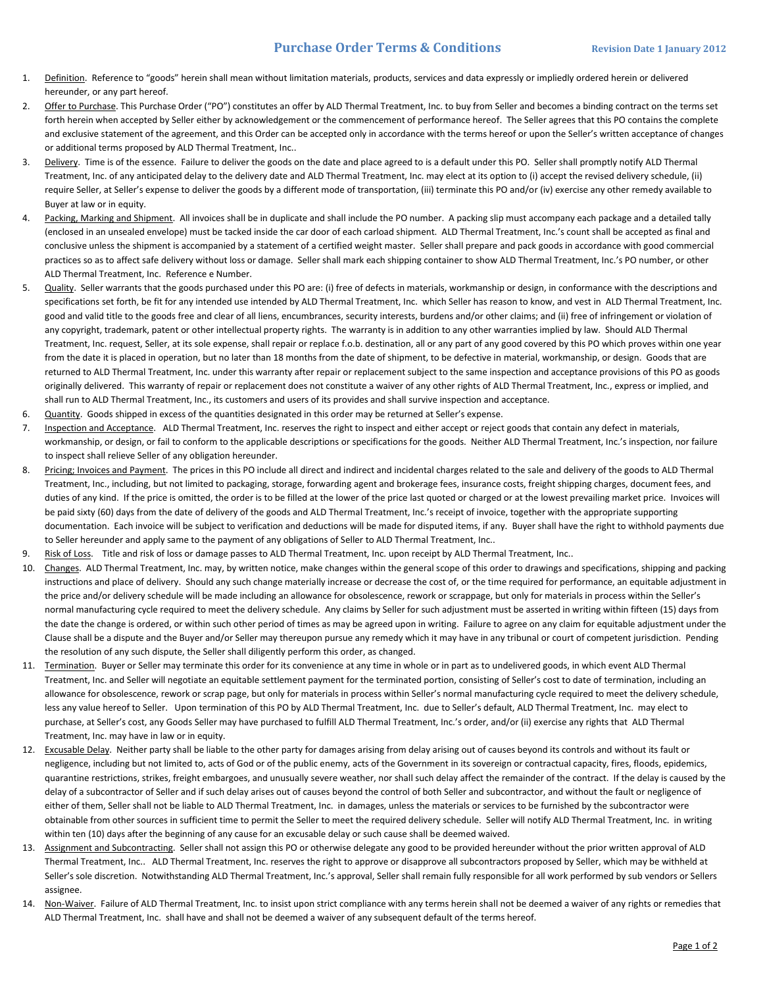## **Purchase Order Terms & Conditions Revision Date 1 January 2012**

- 1. Definition. Reference to "goods" herein shall mean without limitation materials, products, services and data expressly or impliedly ordered herein or delivered hereunder, or any part hereof.
- 2. Offer to Purchase. This Purchase Order ("PO") constitutes an offer by ALD Thermal Treatment, Inc. to buy from Seller and becomes a binding contract on the terms set forth herein when accepted by Seller either by acknowledgement or the commencement of performance hereof. The Seller agrees that this PO contains the complete and exclusive statement of the agreement, and this Order can be accepted only in accordance with the terms hereof or upon the Seller's written acceptance of changes or additional terms proposed by ALD Thermal Treatment, Inc..
- 3. Delivery. Time is of the essence. Failure to deliver the goods on the date and place agreed to is a default under this PO. Seller shall promptly notify ALD Thermal Treatment, Inc. of any anticipated delay to the delivery date and ALD Thermal Treatment, Inc. may elect at its option to (i) accept the revised delivery schedule, (ii) require Seller, at Seller's expense to deliver the goods by a different mode of transportation, (iii) terminate this PO and/or (iv) exercise any other remedy available to Buyer at law or in equity.
- 4. Packing, Marking and Shipment. All invoices shall be in duplicate and shall include the PO number. A packing slip must accompany each package and a detailed tally (enclosed in an unsealed envelope) must be tacked inside the car door of each carload shipment. ALD Thermal Treatment, Inc.'s count shall be accepted as final and conclusive unless the shipment is accompanied by a statement of a certified weight master. Seller shall prepare and pack goods in accordance with good commercial practices so as to affect safe delivery without loss or damage. Seller shall mark each shipping container to show ALD Thermal Treatment, Inc.'s PO number, or other ALD Thermal Treatment, Inc. Reference e Number.
- 5. Quality. Seller warrants that the goods purchased under this PO are: (i) free of defects in materials, workmanship or design, in conformance with the descriptions and specifications set forth, be fit for any intended use intended by ALD Thermal Treatment, Inc. which Seller has reason to know, and vest in ALD Thermal Treatment, Inc. good and valid title to the goods free and clear of all liens, encumbrances, security interests, burdens and/or other claims; and (ii) free of infringement or violation of any copyright, trademark, patent or other intellectual property rights. The warranty is in addition to any other warranties implied by law. Should ALD Thermal Treatment, Inc. request, Seller, at its sole expense, shall repair or replace f.o.b. destination, all or any part of any good covered by this PO which proves within one year from the date it is placed in operation, but no later than 18 months from the date of shipment, to be defective in material, workmanship, or design. Goods that are returned to ALD Thermal Treatment, Inc. under this warranty after repair or replacement subject to the same inspection and acceptance provisions of this PO as goods originally delivered. This warranty of repair or replacement does not constitute a waiver of any other rights of ALD Thermal Treatment, Inc., express or implied, and shall run to ALD Thermal Treatment, Inc., its customers and users of its provides and shall survive inspection and acceptance.
- 6. Quantity. Goods shipped in excess of the quantities designated in this order may be returned at Seller's expense.
- 7. Inspection and Acceptance. ALD Thermal Treatment, Inc. reserves the right to inspect and either accept or reject goods that contain any defect in materials, workmanship, or design, or fail to conform to the applicable descriptions or specifications for the goods. Neither ALD Thermal Treatment, Inc.'s inspection, nor failure to inspect shall relieve Seller of any obligation hereunder.
- 8. Pricing; Invoices and Payment. The prices in this PO include all direct and indirect and incidental charges related to the sale and delivery of the goods to ALD Thermal Treatment, Inc., including, but not limited to packaging, storage, forwarding agent and brokerage fees, insurance costs, freight shipping charges, document fees, and duties of any kind. If the price is omitted, the order is to be filled at the lower of the price last quoted or charged or at the lowest prevailing market price. Invoices will be paid sixty (60) days from the date of delivery of the goods and ALD Thermal Treatment, Inc.'s receipt of invoice, together with the appropriate supporting documentation. Each invoice will be subject to verification and deductions will be made for disputed items, if any. Buyer shall have the right to withhold payments due to Seller hereunder and apply same to the payment of any obligations of Seller to ALD Thermal Treatment, Inc..
- 9. Risk of Loss. Title and risk of loss or damage passes to ALD Thermal Treatment, Inc. upon receipt by ALD Thermal Treatment, Inc..
- 10. Changes. ALD Thermal Treatment, Inc. may, by written notice, make changes within the general scope of this order to drawings and specifications, shipping and packing instructions and place of delivery. Should any such change materially increase or decrease the cost of, or the time required for performance, an equitable adjustment in the price and/or delivery schedule will be made including an allowance for obsolescence, rework or scrappage, but only for materials in process within the Seller's normal manufacturing cycle required to meet the delivery schedule. Any claims by Seller for such adjustment must be asserted in writing within fifteen (15) days from the date the change is ordered, or within such other period of times as may be agreed upon in writing. Failure to agree on any claim for equitable adjustment under the Clause shall be a dispute and the Buyer and/or Seller may thereupon pursue any remedy which it may have in any tribunal or court of competent jurisdiction. Pending the resolution of any such dispute, the Seller shall diligently perform this order, as changed.
- 11. Termination. Buyer or Seller may terminate this order for its convenience at any time in whole or in part as to undelivered goods, in which event ALD Thermal Treatment, Inc. and Seller will negotiate an equitable settlement payment for the terminated portion, consisting of Seller's cost to date of termination, including an allowance for obsolescence, rework or scrap page, but only for materials in process within Seller's normal manufacturing cycle required to meet the delivery schedule, less any value hereof to Seller. Upon termination of this PO by ALD Thermal Treatment, Inc. due to Seller's default, ALD Thermal Treatment, Inc. may elect to purchase, at Seller's cost, any Goods Seller may have purchased to fulfill ALD Thermal Treatment, Inc.'s order, and/or (ii) exercise any rights that ALD Thermal Treatment, Inc. may have in law or in equity.
- 12. Excusable Delay. Neither party shall be liable to the other party for damages arising from delay arising out of causes beyond its controls and without its fault or negligence, including but not limited to, acts of God or of the public enemy, acts of the Government in its sovereign or contractual capacity, fires, floods, epidemics, quarantine restrictions, strikes, freight embargoes, and unusually severe weather, nor shall such delay affect the remainder of the contract. If the delay is caused by the delay of a subcontractor of Seller and if such delay arises out of causes beyond the control of both Seller and subcontractor, and without the fault or negligence of either of them, Seller shall not be liable to ALD Thermal Treatment, Inc. in damages, unless the materials or services to be furnished by the subcontractor were obtainable from other sources in sufficient time to permit the Seller to meet the required delivery schedule. Seller will notify ALD Thermal Treatment, Inc. in writing within ten (10) days after the beginning of any cause for an excusable delay or such cause shall be deemed waived.
- 13. Assignment and Subcontracting. Seller shall not assign this PO or otherwise delegate any good to be provided hereunder without the prior written approval of ALD Thermal Treatment, Inc.. ALD Thermal Treatment, Inc. reserves the right to approve or disapprove all subcontractors proposed by Seller, which may be withheld at Seller's sole discretion. Notwithstanding ALD Thermal Treatment, Inc.'s approval, Seller shall remain fully responsible for all work performed by sub vendors or Sellers assignee.
- 14. Non-Waiver. Failure of ALD Thermal Treatment, Inc. to insist upon strict compliance with any terms herein shall not be deemed a waiver of any rights or remedies that ALD Thermal Treatment, Inc. shall have and shall not be deemed a waiver of any subsequent default of the terms hereof.